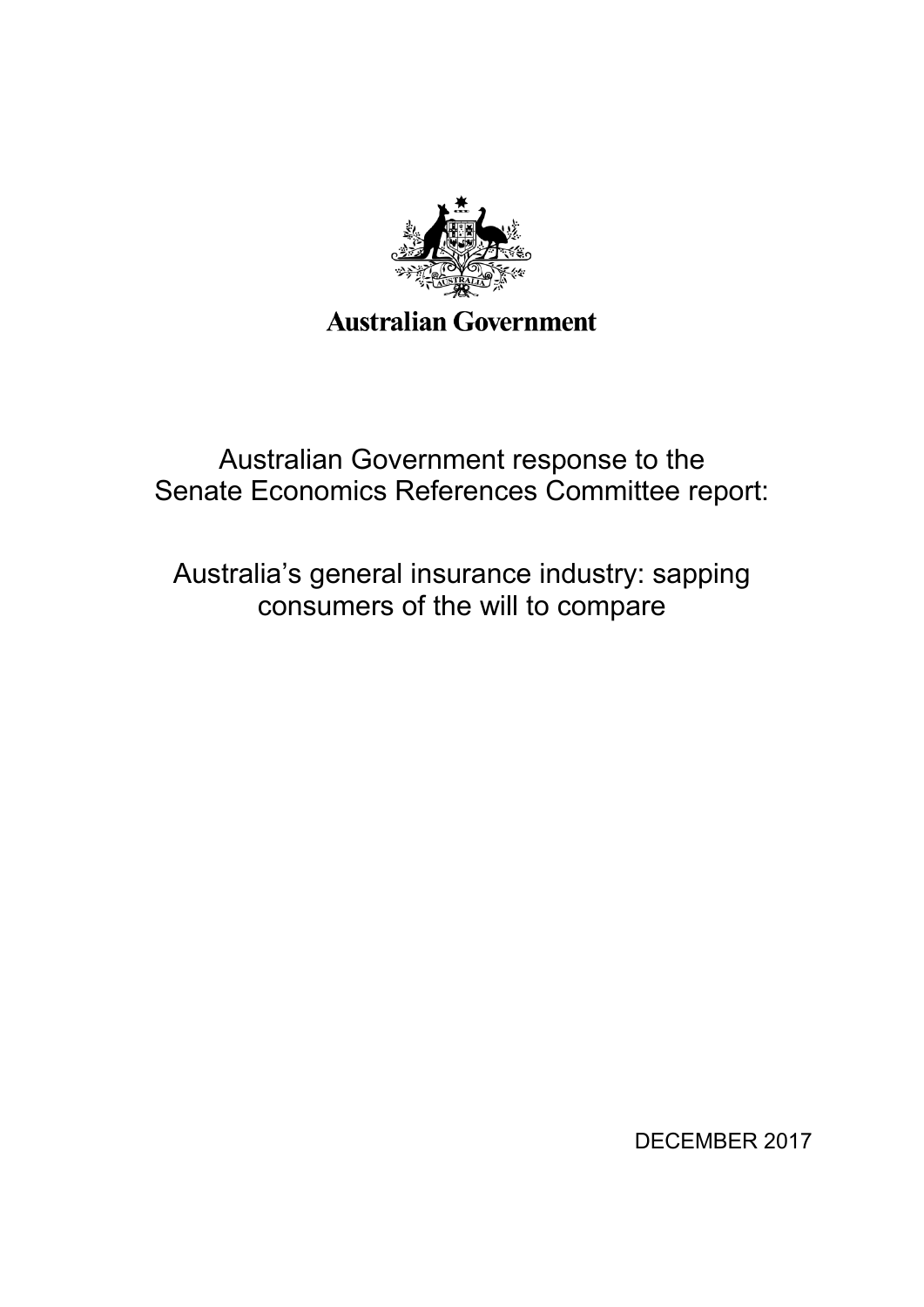

Australian Government response to the Senate Economics References Committee report:

Australia's general insurance industry: sapping consumers of the will to compare

DECEMBER 2017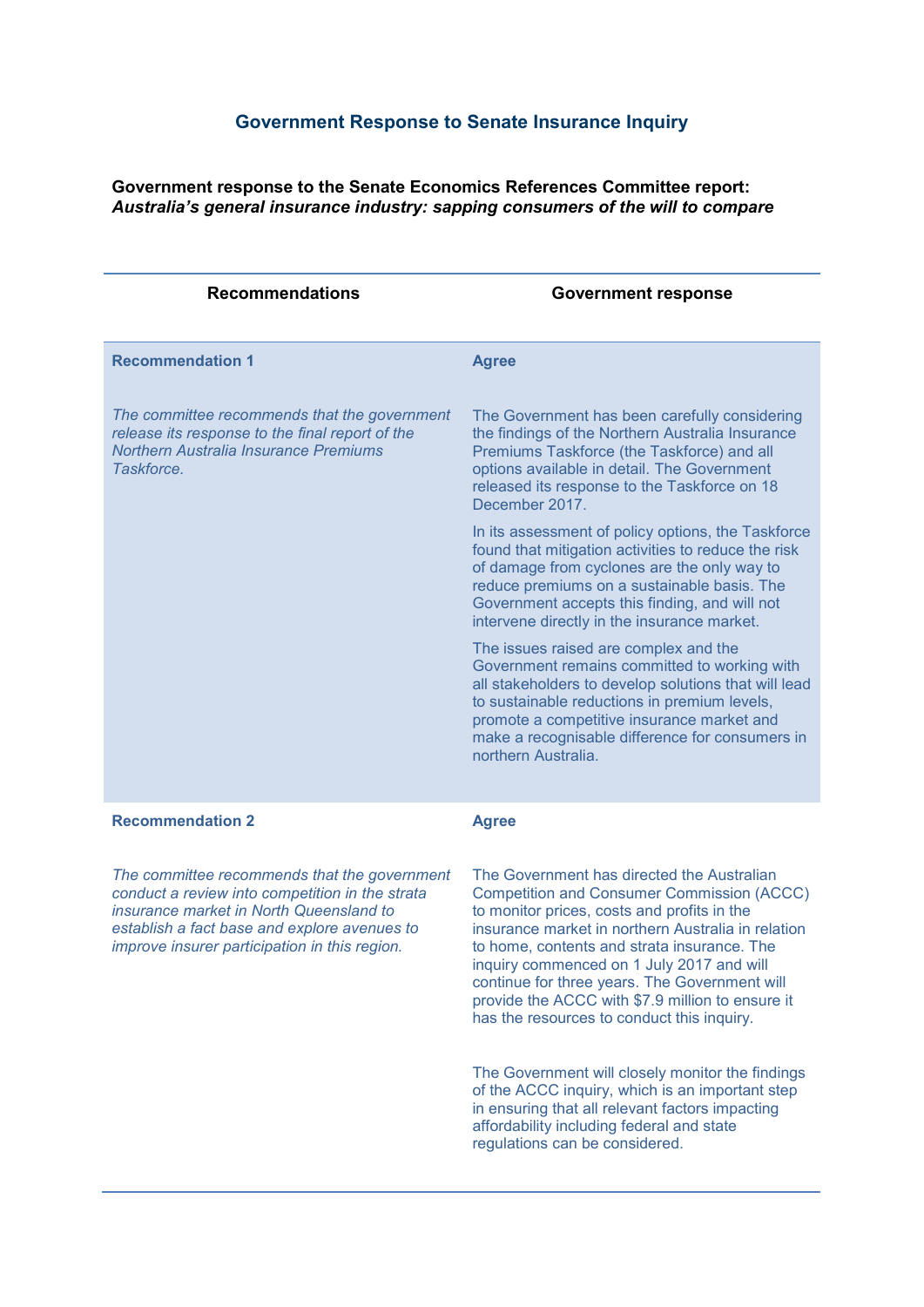## **Government Response to Senate Insurance Inquiry**

**Government response to the Senate Economics References Committee report:**  *Australia's general insurance industry: sapping consumers of the will to compare*

| <b>Recommendations</b>                                                                                                                                                                                                                      | <b>Government response</b>                                                                                                                                                                                                                                                                                                                                                                                                                          |
|---------------------------------------------------------------------------------------------------------------------------------------------------------------------------------------------------------------------------------------------|-----------------------------------------------------------------------------------------------------------------------------------------------------------------------------------------------------------------------------------------------------------------------------------------------------------------------------------------------------------------------------------------------------------------------------------------------------|
| <b>Recommendation 1</b>                                                                                                                                                                                                                     | <b>Agree</b>                                                                                                                                                                                                                                                                                                                                                                                                                                        |
| The committee recommends that the government<br>release its response to the final report of the<br><b>Northern Australia Insurance Premiums</b><br>Taskforce.                                                                               | The Government has been carefully considering<br>the findings of the Northern Australia Insurance<br>Premiums Taskforce (the Taskforce) and all<br>options available in detail. The Government<br>released its response to the Taskforce on 18<br>December 2017.                                                                                                                                                                                    |
|                                                                                                                                                                                                                                             | In its assessment of policy options, the Taskforce<br>found that mitigation activities to reduce the risk<br>of damage from cyclones are the only way to<br>reduce premiums on a sustainable basis. The<br>Government accepts this finding, and will not<br>intervene directly in the insurance market.                                                                                                                                             |
|                                                                                                                                                                                                                                             | The issues raised are complex and the<br>Government remains committed to working with<br>all stakeholders to develop solutions that will lead<br>to sustainable reductions in premium levels,<br>promote a competitive insurance market and<br>make a recognisable difference for consumers in<br>northern Australia.                                                                                                                               |
| <b>Recommendation 2</b>                                                                                                                                                                                                                     | <b>Agree</b>                                                                                                                                                                                                                                                                                                                                                                                                                                        |
| The committee recommends that the government<br>conduct a review into competition in the strata<br>insurance market in North Queensland to<br>establish a fact base and explore avenues to<br>improve insurer participation in this region. | The Government has directed the Australian<br><b>Competition and Consumer Commission (ACCC)</b><br>to monitor prices, costs and profits in the<br>insurance market in northern Australia in relation<br>to home, contents and strata insurance. The<br>inquiry commenced on 1 July 2017 and will<br>continue for three years. The Government will<br>provide the ACCC with \$7.9 million to ensure it<br>has the resources to conduct this inquiry. |
|                                                                                                                                                                                                                                             | The Government will closely monitor the findings<br>of the ACCC inquiry, which is an important step<br>in ensuring that all relevant factors impacting<br>affordability including federal and state<br>regulations can be considered.                                                                                                                                                                                                               |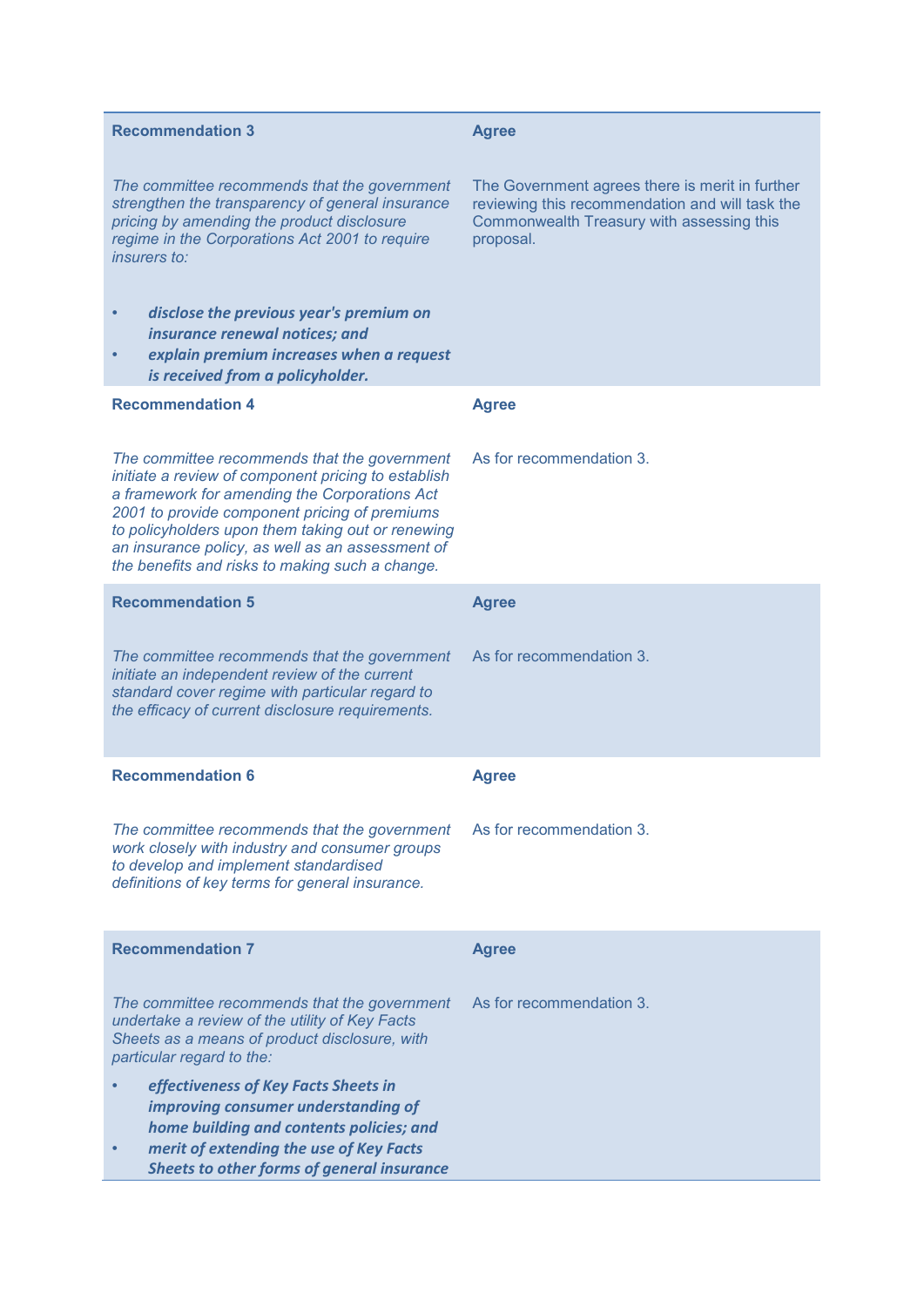| <b>Recommendation 3</b>                                                                                                                                                                                                                                                                                                                                           | <b>Agree</b>                                                                                                                                                 |
|-------------------------------------------------------------------------------------------------------------------------------------------------------------------------------------------------------------------------------------------------------------------------------------------------------------------------------------------------------------------|--------------------------------------------------------------------------------------------------------------------------------------------------------------|
| The committee recommends that the government<br>strengthen the transparency of general insurance<br>pricing by amending the product disclosure<br>regime in the Corporations Act 2001 to require<br><i>insurers to:</i>                                                                                                                                           | The Government agrees there is merit in further<br>reviewing this recommendation and will task the<br>Commonwealth Treasury with assessing this<br>proposal. |
| disclose the previous year's premium on<br>insurance renewal notices; and<br>explain premium increases when a request<br>is received from a policyholder.                                                                                                                                                                                                         |                                                                                                                                                              |
| <b>Recommendation 4</b>                                                                                                                                                                                                                                                                                                                                           | <b>Agree</b>                                                                                                                                                 |
| The committee recommends that the government<br>initiate a review of component pricing to establish<br>a framework for amending the Corporations Act<br>2001 to provide component pricing of premiums<br>to policyholders upon them taking out or renewing<br>an insurance policy, as well as an assessment of<br>the benefits and risks to making such a change. | As for recommendation 3.                                                                                                                                     |
| <b>Recommendation 5</b>                                                                                                                                                                                                                                                                                                                                           | <b>Agree</b>                                                                                                                                                 |
| The committee recommends that the government<br>initiate an independent review of the current<br>standard cover regime with particular regard to<br>the efficacy of current disclosure requirements.                                                                                                                                                              | As for recommendation 3.                                                                                                                                     |
| <b>Recommendation 6</b>                                                                                                                                                                                                                                                                                                                                           | <b>Agree</b>                                                                                                                                                 |
| The committee recommends that the government<br>work closely with industry and consumer groups<br>to develop and implement standardised<br>definitions of key terms for general insurance.                                                                                                                                                                        | As for recommendation 3.                                                                                                                                     |
| <b>Recommendation 7</b>                                                                                                                                                                                                                                                                                                                                           | <b>Agree</b>                                                                                                                                                 |
| The committee recommends that the government<br>undertake a review of the utility of Key Facts<br>Sheets as a means of product disclosure, with<br>particular regard to the:                                                                                                                                                                                      | As for recommendation 3.                                                                                                                                     |
| effectiveness of Key Facts Sheets in<br>improving consumer understanding of<br>home building and contents policies; and<br>merit of extending the use of Key Facts<br><b>Sheets to other forms of general insurance</b>                                                                                                                                           |                                                                                                                                                              |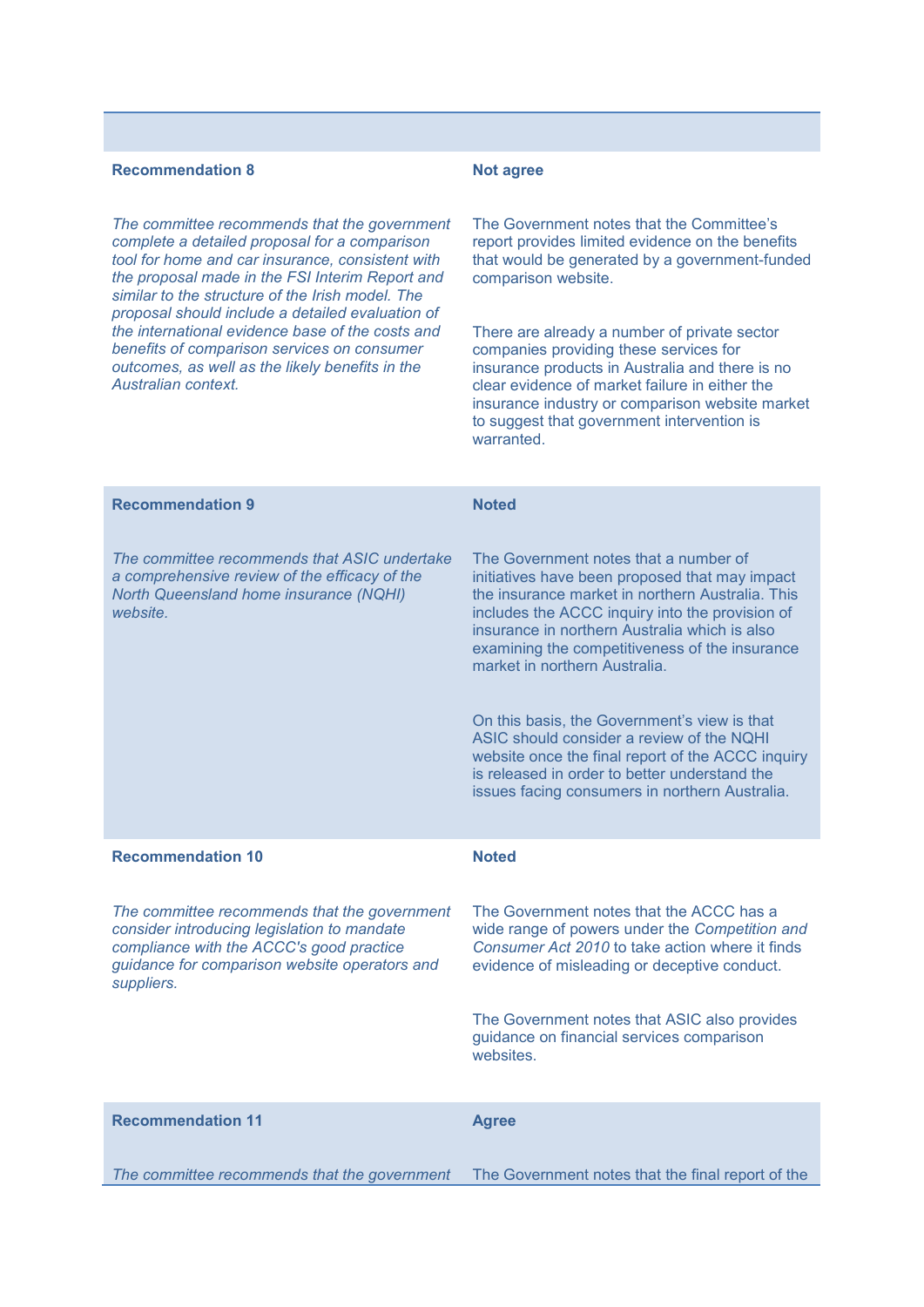## **Recommendation 8** *The committee recommends that the government complete a detailed proposal for a comparison tool for home and car insurance, consistent with the proposal made in the FSI Interim Report and similar to the structure of the Irish model. The proposal should include a detailed evaluation of the international evidence base of the costs and benefits of comparison services on consumer outcomes, as well as the likely benefits in the Australian context.* **Not agree** The Government notes that the Committee's report provides limited evidence on the benefits that would be generated by a government-funded comparison website. There are already a number of private sector companies providing these services for insurance products in Australia and there is no clear evidence of market failure in either the insurance industry or comparison website market to suggest that government intervention is warranted. **Recommendation 9** *The committee recommends that ASIC undertake a comprehensive review of the efficacy of the North Queensland home insurance (NQHI) website.* **Noted** The Government notes that a number of initiatives have been proposed that may impact the insurance market in northern Australia. This includes the ACCC inquiry into the provision of insurance in northern Australia which is also examining the competitiveness of the insurance market in northern Australia. On this basis, the Government's view is that ASIC should consider a review of the NQHI website once the final report of the ACCC inquiry is released in order to better understand the issues facing consumers in northern Australia. **Recommendation 10** *The committee recommends that the government consider introducing legislation to mandate compliance with the ACCC's good practice guidance for comparison website operators and suppliers.* **Noted** The Government notes that the ACCC has a wide range of powers under the *Competition and Consumer Act 2010* to take action where it finds evidence of misleading or deceptive conduct. The Government notes that ASIC also provides guidance on financial services comparison websites. **Recommendation 11** *The committee recommends that the government*  The Government notes that the final report of the **Agree**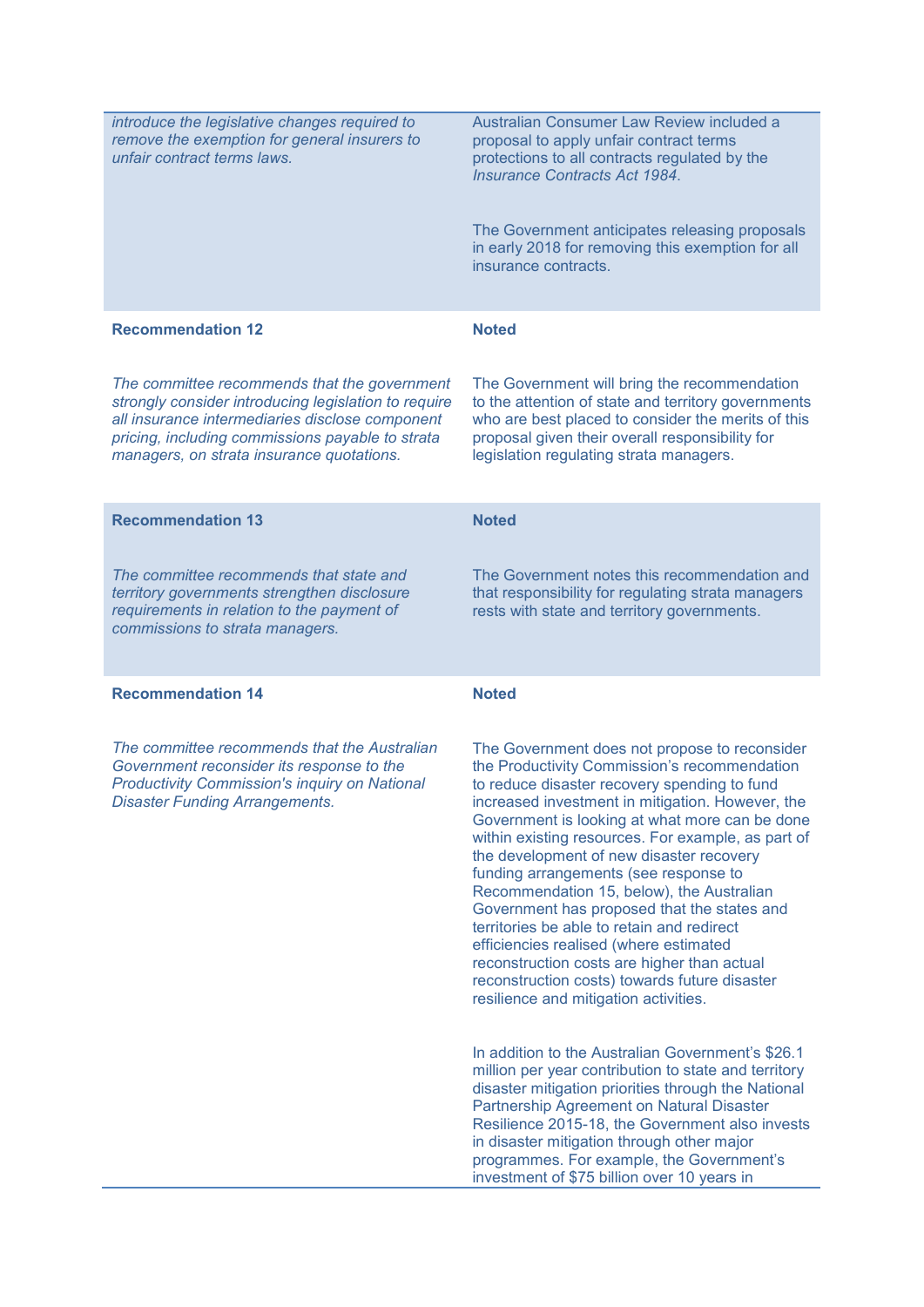| introduce the legislative changes required to<br>remove the exemption for general insurers to<br>unfair contract terms laws.                                                                                                                             | Australian Consumer Law Review included a<br>proposal to apply unfair contract terms<br>protections to all contracts regulated by the<br><b>Insurance Contracts Act 1984.</b><br>The Government anticipates releasing proposals                                                                                                                                                                                                                                                                                                                                                                                                                                                                                             |
|----------------------------------------------------------------------------------------------------------------------------------------------------------------------------------------------------------------------------------------------------------|-----------------------------------------------------------------------------------------------------------------------------------------------------------------------------------------------------------------------------------------------------------------------------------------------------------------------------------------------------------------------------------------------------------------------------------------------------------------------------------------------------------------------------------------------------------------------------------------------------------------------------------------------------------------------------------------------------------------------------|
|                                                                                                                                                                                                                                                          | in early 2018 for removing this exemption for all<br>insurance contracts.                                                                                                                                                                                                                                                                                                                                                                                                                                                                                                                                                                                                                                                   |
| <b>Recommendation 12</b>                                                                                                                                                                                                                                 | <b>Noted</b>                                                                                                                                                                                                                                                                                                                                                                                                                                                                                                                                                                                                                                                                                                                |
| The committee recommends that the government<br>strongly consider introducing legislation to require<br>all insurance intermediaries disclose component<br>pricing, including commissions payable to strata<br>managers, on strata insurance quotations. | The Government will bring the recommendation<br>to the attention of state and territory governments<br>who are best placed to consider the merits of this<br>proposal given their overall responsibility for<br>legislation regulating strata managers.                                                                                                                                                                                                                                                                                                                                                                                                                                                                     |
| <b>Recommendation 13</b>                                                                                                                                                                                                                                 | <b>Noted</b>                                                                                                                                                                                                                                                                                                                                                                                                                                                                                                                                                                                                                                                                                                                |
| The committee recommends that state and<br>territory governments strengthen disclosure<br>requirements in relation to the payment of<br>commissions to strata managers.                                                                                  | The Government notes this recommendation and<br>that responsibility for regulating strata managers<br>rests with state and territory governments.                                                                                                                                                                                                                                                                                                                                                                                                                                                                                                                                                                           |
| <b>Recommendation 14</b>                                                                                                                                                                                                                                 | <b>Noted</b>                                                                                                                                                                                                                                                                                                                                                                                                                                                                                                                                                                                                                                                                                                                |
| The committee recommends that the Australian<br>Government reconsider its response to the<br><b>Productivity Commission's inquiry on National</b><br><b>Disaster Funding Arrangements.</b>                                                               | The Government does not propose to reconsider<br>the Productivity Commission's recommendation<br>to reduce disaster recovery spending to fund<br>increased investment in mitigation. However, the<br>Government is looking at what more can be done<br>within existing resources. For example, as part of<br>the development of new disaster recovery<br>funding arrangements (see response to<br>Recommendation 15, below), the Australian<br>Government has proposed that the states and<br>territories be able to retain and redirect<br>efficiencies realised (where estimated<br>reconstruction costs are higher than actual<br>reconstruction costs) towards future disaster<br>resilience and mitigation activities. |
|                                                                                                                                                                                                                                                          | In addition to the Australian Government's \$26.1<br>million per year contribution to state and territory<br>disaster mitigation priorities through the National<br>Partnership Agreement on Natural Disaster<br>Resilience 2015-18, the Government also invests<br>in disaster mitigation through other major<br>programmes. For example, the Government's<br>investment of \$75 billion over 10 years in                                                                                                                                                                                                                                                                                                                  |